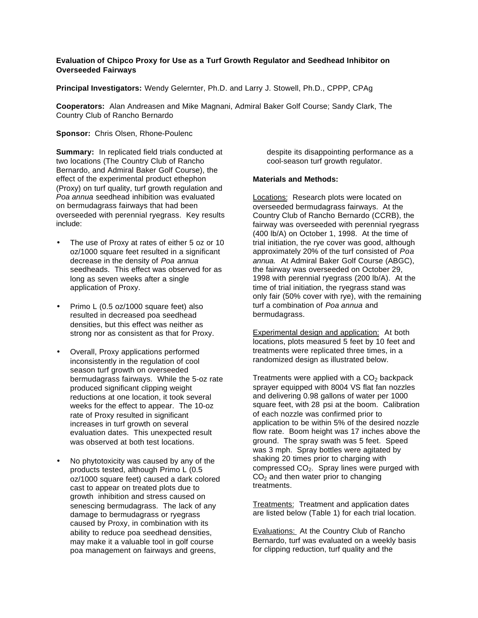# **Evaluation of Chipco Proxy for Use as a Turf Growth Regulator and Seedhead Inhibitor on Overseeded Fairways**

**Principal Investigators:** Wendy Gelernter, Ph.D. and Larry J. Stowell, Ph.D., CPPP, CPAg

**Cooperators:** Alan Andreasen and Mike Magnani, Admiral Baker Golf Course; Sandy Clark, The Country Club of Rancho Bernardo

## **Sponsor:** Chris Olsen, Rhone-Poulenc

**Summary:** In replicated field trials conducted at two locations (The Country Club of Rancho Bernardo, and Admiral Baker Golf Course), the effect of the experimental product ethephon (Proxy) on turf quality, turf growth regulation and *Poa annua* seedhead inhibition was evaluated on bermudagrass fairways that had been overseeded with perennial ryegrass. Key results include:

- The use of Proxy at rates of either 5 oz or 10 oz/1000 square feet resulted in a significant decrease in the density of *Poa annua* seedheads. This effect was observed for as long as seven weeks after a single application of Proxy.
- Primo L (0.5 oz/1000 square feet) also resulted in decreased poa seedhead densities, but this effect was neither as strong nor as consistent as that for Proxy.
- Overall, Proxy applications performed inconsistently in the regulation of cool season turf growth on overseeded bermudagrass fairways. While the 5-oz rate produced significant clipping weight reductions at one location, it took several weeks for the effect to appear. The 10-oz rate of Proxy resulted in significant increases in turf growth on several evaluation dates. This unexpected result was observed at both test locations.
- No phytotoxicity was caused by any of the products tested, although Primo L (0.5 oz/1000 square feet) caused a dark colored cast to appear on treated plots due to growth inhibition and stress caused on senescing bermudagrass. The lack of any damage to bermudagrass or ryegrass caused by Proxy, in combination with its ability to reduce poa seedhead densities, may make it a valuable tool in golf course poa management on fairways and greens,

despite its disappointing performance as a cool-season turf growth regulator.

#### **Materials and Methods:**

Locations: Research plots were located on overseeded bermudagrass fairways. At the Country Club of Rancho Bernardo (CCRB), the fairway was overseeded with perennial ryegrass (400 lb/A) on October 1, 1998. At the time of trial initiation, the rye cover was good, although approximately 20% of the turf consisted of *Poa annua.* At Admiral Baker Golf Course (ABGC), the fairway was overseeded on October 29, 1998 with perennial ryegrass (200 lb/A). At the time of trial initiation, the ryegrass stand was only fair (50% cover with rye), with the remaining turf a combination of *Poa annua* and bermudagrass.

Experimental design and application: At both locations, plots measured 5 feet by 10 feet and treatments were replicated three times, in a randomized design as illustrated below.

Treatments were applied with a  $CO<sub>2</sub>$  backpack sprayer equipped with 8004 VS flat fan nozzles and delivering 0.98 gallons of water per 1000 square feet, with 28 psi at the boom. Calibration of each nozzle was confirmed prior to application to be within 5% of the desired nozzle flow rate. Boom height was 17 inches above the ground. The spray swath was 5 feet. Speed was 3 mph. Spray bottles were agitated by shaking 20 times prior to charging with compressed  $CO<sub>2</sub>$ . Spray lines were purged with  $CO<sub>2</sub>$  and then water prior to changing treatments.

Treatments: Treatment and application dates are listed below (Table 1) for each trial location.

Evaluations: At the Country Club of Rancho Bernardo, turf was evaluated on a weekly basis for clipping reduction, turf quality and the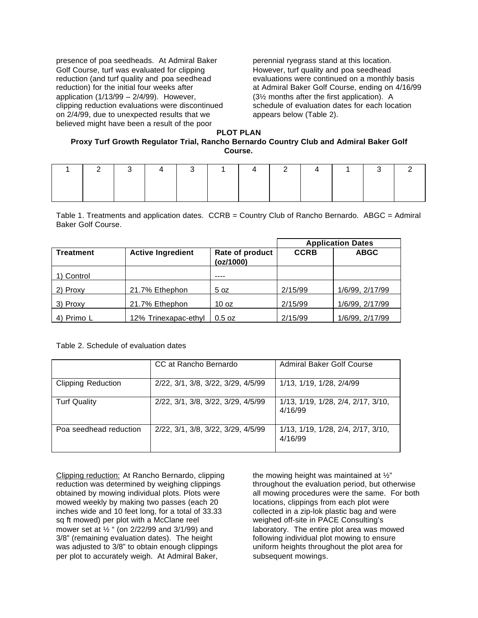presence of poa seedheads. At Admiral Baker Golf Course, turf was evaluated for clipping reduction (and turf quality and poa seedhead reduction) for the initial four weeks after application (1/13/99 – 2/4/99). However, clipping reduction evaluations were discontinued on 2/4/99, due to unexpected results that we believed might have been a result of the poor

perennial ryegrass stand at this location. However, turf quality and poa seedhead evaluations were continued on a monthly basis at Admiral Baker Golf Course, ending on 4/16/99 (3½ months after the first application). A schedule of evaluation dates for each location appears below (Table 2).

### **PLOT PLAN**

## **Proxy Turf Growth Regulator Trial, Rancho Bernardo Country Club and Admiral Baker Golf Course.**

|  | 1   2   3   4   3   1   4   2   4   1   3   2 |  |  |  |  |
|--|-----------------------------------------------|--|--|--|--|
|  |                                               |  |  |  |  |
|  |                                               |  |  |  |  |

Table 1. Treatments and application dates. CCRB = Country Club of Rancho Bernardo. ABGC = Admiral Baker Golf Course.

|                                              |                      |                              | <b>Application Dates</b> |                 |  |
|----------------------------------------------|----------------------|------------------------------|--------------------------|-----------------|--|
| <b>Treatment</b><br><b>Active Ingredient</b> |                      | Rate of product<br>(oz/1000) | <b>CCRB</b>              | <b>ABGC</b>     |  |
| ∣) Control                                   |                      | ----                         |                          |                 |  |
| 2) Proxy                                     | 21.7% Ethephon       | 5 oz                         | 2/15/99                  | 1/6/99, 2/17/99 |  |
| 3) Proxy                                     | 21.7% Ethephon       | 10 <sub>oz</sub>             | 2/15/99                  | 1/6/99, 2/17/99 |  |
| 4) Primo L                                   | 12% Trinexapac-ethyl | $0.5$ oz                     | 2/15/99                  | 1/6/99, 2/17/99 |  |

#### Table 2. Schedule of evaluation dates

|                           | CC at Rancho Bernardo              | <b>Admiral Baker Golf Course</b>              |
|---------------------------|------------------------------------|-----------------------------------------------|
| <b>Clipping Reduction</b> | 2/22, 3/1, 3/8, 3/22, 3/29, 4/5/99 | 1/13, 1/19, 1/28, 2/4/99                      |
| <b>Turf Quality</b>       | 2/22, 3/1, 3/8, 3/22, 3/29, 4/5/99 | 1/13, 1/19, 1/28, 2/4, 2/17, 3/10,<br>4/16/99 |
| Poa seedhead reduction    | 2/22, 3/1, 3/8, 3/22, 3/29, 4/5/99 | 1/13, 1/19, 1/28, 2/4, 2/17, 3/10,<br>4/16/99 |

Clipping reduction: At Rancho Bernardo, clipping reduction was determined by weighing clippings obtained by mowing individual plots. Plots were mowed weekly by making two passes (each 20 inches wide and 10 feet long, for a total of 33.33 sq ft mowed) per plot with a McClane reel mower set at ½ " (on 2/22/99 and 3/1/99) and 3/8" (remaining evaluation dates). The height was adjusted to 3/8" to obtain enough clippings per plot to accurately weigh. At Admiral Baker,

the mowing height was maintained at ½" throughout the evaluation period, but otherwise all mowing procedures were the same. For both locations, clippings from each plot were collected in a zip-lok plastic bag and were weighed off-site in PACE Consulting's laboratory. The entire plot area was mowed following individual plot mowing to ensure uniform heights throughout the plot area for subsequent mowings.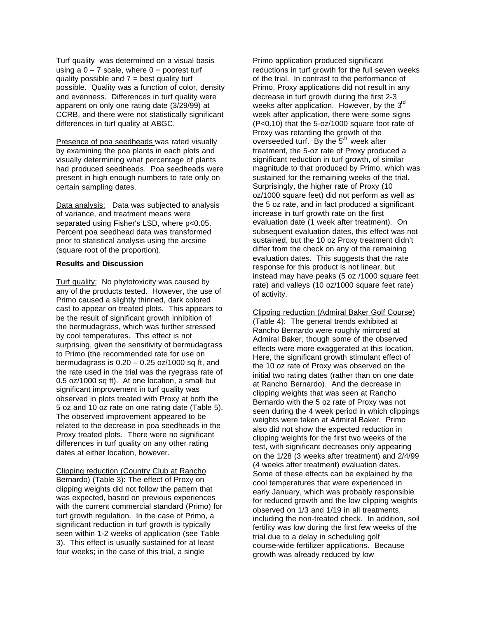Turf quality was determined on a visual basis using a  $0 - 7$  scale, where  $0 =$  poorest turf quality possible and  $7 =$  best quality turf possible. Quality was a function of color, density and evenness. Differences in turf quality were apparent on only one rating date (3/29/99) at CCRB, and there were not statistically significant differences in turf quality at ABGC.

Presence of poa seedheads was rated visually by examining the poa plants in each plots and visually determining what percentage of plants had produced seedheads. Poa seedheads were present in high enough numbers to rate only on certain sampling dates.

Data analysis: Data was subjected to analysis of variance, and treatment means were separated using Fisher's LSD, where p<0.05. Percent poa seedhead data was transformed prior to statistical analysis using the arcsine (square root of the proportion).

### **Results and Discussion**

Turf quality: No phytotoxicity was caused by any of the products tested. However, the use of Primo caused a slightly thinned, dark colored cast to appear on treated plots. This appears to be the result of significant growth inhibition of the bermudagrass, which was further stressed by cool temperatures. This effect is not surprising, given the sensitivity of bermudagrass to Primo (the recommended rate for use on bermudagrass is  $0.20 - 0.25$  oz/1000 sq ft, and the rate used in the trial was the ryegrass rate of 0.5 oz/1000 sq ft). At one location, a small but significant improvement in turf quality was observed in plots treated with Proxy at both the 5 oz and 10 oz rate on one rating date (Table 5). The observed improvement appeared to be related to the decrease in poa seedheads in the Proxy treated plots. There were no significant differences in turf quality on any other rating dates at either location, however.

Clipping reduction (Country Club at Rancho Bernardo) (Table 3): The effect of Proxy on clipping weights did not follow the pattern that was expected, based on previous experiences with the current commercial standard (Primo) for turf growth regulation. In the case of Primo, a significant reduction in turf growth is typically seen within 1-2 weeks of application (see Table 3). This effect is usually sustained for at least four weeks; in the case of this trial, a single

Primo application produced significant reductions in turf growth for the full seven weeks of the trial. In contrast to the performance of Primo, Proxy applications did not result in any decrease in turf growth during the first 2-3 weeks after application. However, by the 3rd week after application, there were some signs (P<0.10) that the 5-oz/1000 square foot rate of Proxy was retarding the growth of the overseeded turf. By the 5<sup>th</sup> week after treatment, the 5-oz rate of Proxy produced a significant reduction in turf growth, of similar magnitude to that produced by Primo, which was sustained for the remaining weeks of the trial. Surprisingly, the higher rate of Proxy (10 oz/1000 square feet) did not perform as well as the 5 oz rate, and in fact produced a significant increase in turf growth rate on the first evaluation date (1 week after treatment). On subsequent evaluation dates, this effect was not sustained, but the 10 oz Proxy treatment didn't differ from the check on any of the remaining evaluation dates. This suggests that the rate response for this product is not linear, but instead may have peaks (5 oz /1000 square feet rate) and valleys (10 oz/1000 square feet rate) of activity.

Clipping reduction (Admiral Baker Golf Course) (Table 4): The general trends exhibited at Rancho Bernardo were roughly mirrored at Admiral Baker, though some of the observed effects were more exaggerated at this location. Here, the significant growth stimulant effect of the 10 oz rate of Proxy was observed on the initial two rating dates (rather than on one date at Rancho Bernardo). And the decrease in clipping weights that was seen at Rancho Bernardo with the 5 oz rate of Proxy was not seen during the 4 week period in which clippings weights were taken at Admiral Baker. Primo also did not show the expected reduction in clipping weights for the first two weeks of the test, with significant decreases only appearing on the 1/28 (3 weeks after treatment) and 2/4/99 (4 weeks after treatment) evaluation dates. Some of these effects can be explained by the cool temperatures that were experienced in early January, which was probably responsible for reduced growth and the low clipping weights observed on 1/3 and 1/19 in all treatments, including the non-treated check. In addition, soil fertility was low during the first few weeks of the trial due to a delay in scheduling golf course-wide fertilizer applications. Because growth was already reduced by low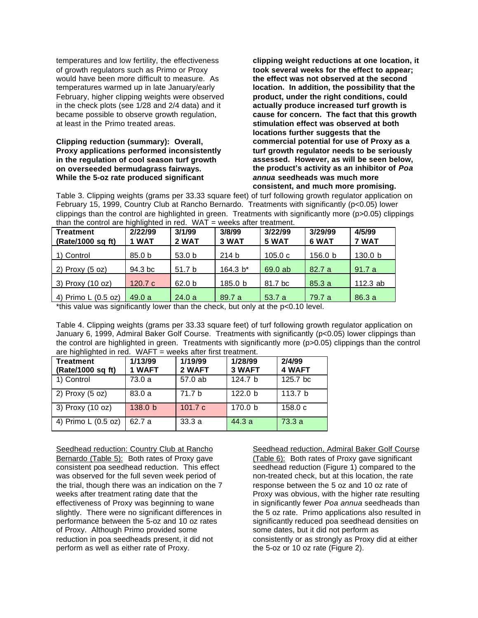temperatures and low fertility, the effectiveness of growth regulators such as Primo or Proxy would have been more difficult to measure. As temperatures warmed up in late January/early February, higher clipping weights were observed in the check plots (see 1/28 and 2/4 data) and it became possible to observe growth regulation, at least in the Primo treated areas.

## **Clipping reduction (summary): Overall, Proxy applications performed inconsistently in the regulation of cool season turf growth on overseeded bermudagrass fairways. While the 5-oz rate produced significant**

**clipping weight reductions at one location, it took several weeks for the effect to appear; the effect was not observed at the second location. In addition, the possibility that the product, under the right conditions, could actually produce increased turf growth is cause for concern. The fact that this growth stimulation effect was observed at both locations further suggests that the commercial potential for use of Proxy as a turf growth regulator needs to be seriously assessed. However, as will be seen below, the product's activity as an inhibitor of** *Poa annua* **seedheads was much more consistent, and much more promising.**

Table 3. Clipping weights (grams per 33.33 square feet) of turf following growth regulator application on February 15, 1999, Country Club at Rancho Bernardo. Treatments with significantly (p<0.05) lower clippings than the control are highlighted in green. Treatments with significantly more (p>0.05) clippings than the control are highlighted in red.  $WAT$  = weeks after treatment.

| <b>Treatment</b><br>(Rate/1000 sq ft) | 2/22/99<br>1 WAT  | 3/1/99<br>2 WAT   | 3/8/99<br>3 WAT  | 3/22/99<br>5 WAT | 3/29/99<br>6 WAT | 4/5/99<br>7 WAT |
|---------------------------------------|-------------------|-------------------|------------------|------------------|------------------|-----------------|
| 1) Control                            | 85.0 <sub>b</sub> | 53.0 <sub>b</sub> | 214 <sub>b</sub> | 105.0c           | 156.0 b          | 130.0 b         |
| 2) Proxy $(5 oz)$                     | 94.3 bc           | 51.7 b            | 164.3 $b^*$      | 69.0 ab          | 82.7a            | 91.7a           |
| 3) Proxy (10 oz)                      | 120.7 $c$         | 62.0 <sub>b</sub> | 185.0 b          | 81.7 bc          | 85.3a            | 112.3 $ab$      |
| 4) Primo L (0.5 oz)                   | 49.0a             | 24.0a             | 89.7 a           | 53.7 a           | 79.7 a           | 86.3a           |

\*this value was significantly lower than the check, but only at the p<0.10 level.

Table 4. Clipping weights (grams per 33.33 square feet) of turf following growth regulator application on January 6, 1999, Admiral Baker Golf Course. Treatments with significantly (p<0.05) lower clippings than the control are highlighted in green. Treatments with significantly more (p>0.05) clippings than the control are highlighted in red. WAFT = weeks after first treatment.

| <b>Treatment</b><br>(Rate/1000 sq ft) | 1/13/99<br>1 WAFT  | 1/19/99<br>2 WAFT | 1/28/99<br>3 WAFT  | 2/4/99<br>4 WAFT   |
|---------------------------------------|--------------------|-------------------|--------------------|--------------------|
| 1) Control                            | 73.0 a             | 57.0 ab           | 124.7 <sub>b</sub> | 125.7 bc           |
| 2) $Proxy(5 oz)$                      | 83.0a              | 71.7 b            | 122.0 <sub>b</sub> | 113.7 <sub>b</sub> |
| 3) Proxy (10 oz)                      | 138.0 <sub>b</sub> | 101.7c            | 170.0 <sub>b</sub> | 158.0c             |
| 4) Primo L (0.5 oz)                   | 62.7 a             | 33.3 a            | 44.3a              | 73.3a              |

Seedhead reduction: Country Club at Rancho Bernardo (Table 5): Both rates of Proxy gave consistent poa seedhead reduction. This effect was observed for the full seven week period of the trial, though there was an indication on the 7 weeks after treatment rating date that the effectiveness of Proxy was beginning to wane slightly. There were no significant differences in performance between the 5-oz and 10 oz rates of Proxy. Although Primo provided some reduction in poa seedheads present, it did not perform as well as either rate of Proxy.

Seedhead reduction, Admiral Baker Golf Course (Table 6): Both rates of Proxy gave significant seedhead reduction (Figure 1) compared to the non-treated check, but at this location, the rate response between the 5 oz and 10 oz rate of Proxy was obvious, with the higher rate resulting in significantly fewer *Poa annua* seedheads than the 5 oz rate. Primo applications also resulted in significantly reduced poa seedhead densities on some dates, but it did not perform as consistently or as strongly as Proxy did at either the 5-oz or 10 oz rate (Figure 2).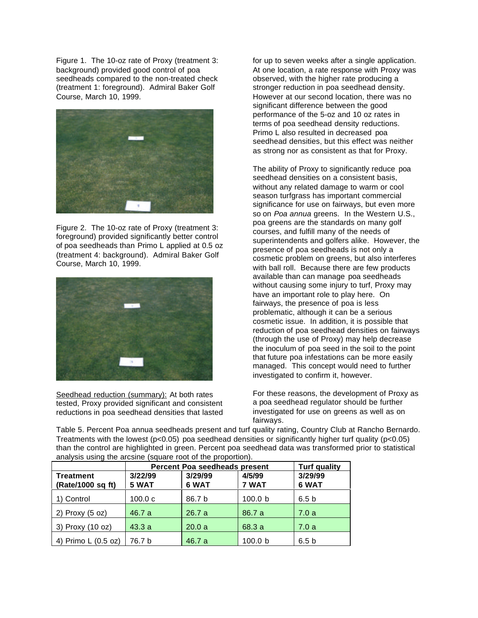Figure 1. The 10-oz rate of Proxy (treatment 3: background) provided good control of poa seedheads compared to the non-treated check (treatment 1: foreground). Admiral Baker Golf Course, March 10, 1999.



Figure 2. The 10-oz rate of Proxy (treatment 3: foreground) provided significantly better control of poa seedheads than Primo L applied at 0.5 oz (treatment 4: background). Admiral Baker Golf Course, March 10, 1999.



Seedhead reduction (summary): At both rates tested, Proxy provided significant and consistent reductions in poa seedhead densities that lasted

for up to seven weeks after a single application. At one location, a rate response with Proxy was observed, with the higher rate producing a stronger reduction in poa seedhead density. However at our second location, there was no significant difference between the good performance of the 5-oz and 10 oz rates in terms of poa seedhead density reductions. Primo L also resulted in decreased poa seedhead densities, but this effect was neither as strong nor as consistent as that for Proxy.

The ability of Proxy to significantly reduce poa seedhead densities on a consistent basis, without any related damage to warm or cool season turfgrass has important commercial significance for use on fairways, but even more so on *Poa annua* greens. In the Western U.S., poa greens are the standards on many golf courses, and fulfill many of the needs of superintendents and golfers alike. However, the presence of poa seedheads is not only a cosmetic problem on greens, but also interferes with ball roll. Because there are few products available than can manage poa seedheads without causing some injury to turf, Proxy may have an important role to play here. On fairways, the presence of poa is less problematic, although it can be a serious cosmetic issue. In addition, it is possible that reduction of poa seedhead densities on fairways (through the use of Proxy) may help decrease the inoculum of poa seed in the soil to the point that future poa infestations can be more easily managed. This concept would need to further investigated to confirm it, however.

For these reasons, the development of Proxy as a poa seedhead regulator should be further investigated for use on greens as well as on fairways.

Table 5. Percent Poa annua seedheads present and turf quality rating, Country Club at Rancho Bernardo. Treatments with the lowest (p<0.05) poa seedhead densities or significantly higher turf quality (p<0.05) than the control are highlighted in green. Percent poa seedhead data was transformed prior to statistical analysis using the arcsine (square root of the proportion).

|                                |                  | Percent Poa seedheads present | <b>Turf quality</b> |                  |
|--------------------------------|------------------|-------------------------------|---------------------|------------------|
| Treatment<br>(Rate/1000 sq ft) | 3/22/99<br>5 WAT | 3/29/99<br>6 WAT              | 4/5/99<br>7 WAT     | 3/29/99<br>6 WAT |
| 1) Control                     | 100.0c           | 86.7 b                        | 100.0 <sub>b</sub>  | 6.5 <sub>b</sub> |
| 2) Proxy $(5 oz)$              | 46.7 a           | 26.7a                         | 86.7 a              | 7.0a             |
| 3) Proxy (10 oz)               | 43.3a            | 20.0a                         | 68.3 a              | 7.0a             |
| 4) Primo L (0.5 oz)            | 76.7 b           | 46.7 a                        | 100.0 b             | 6.5 <sub>b</sub> |